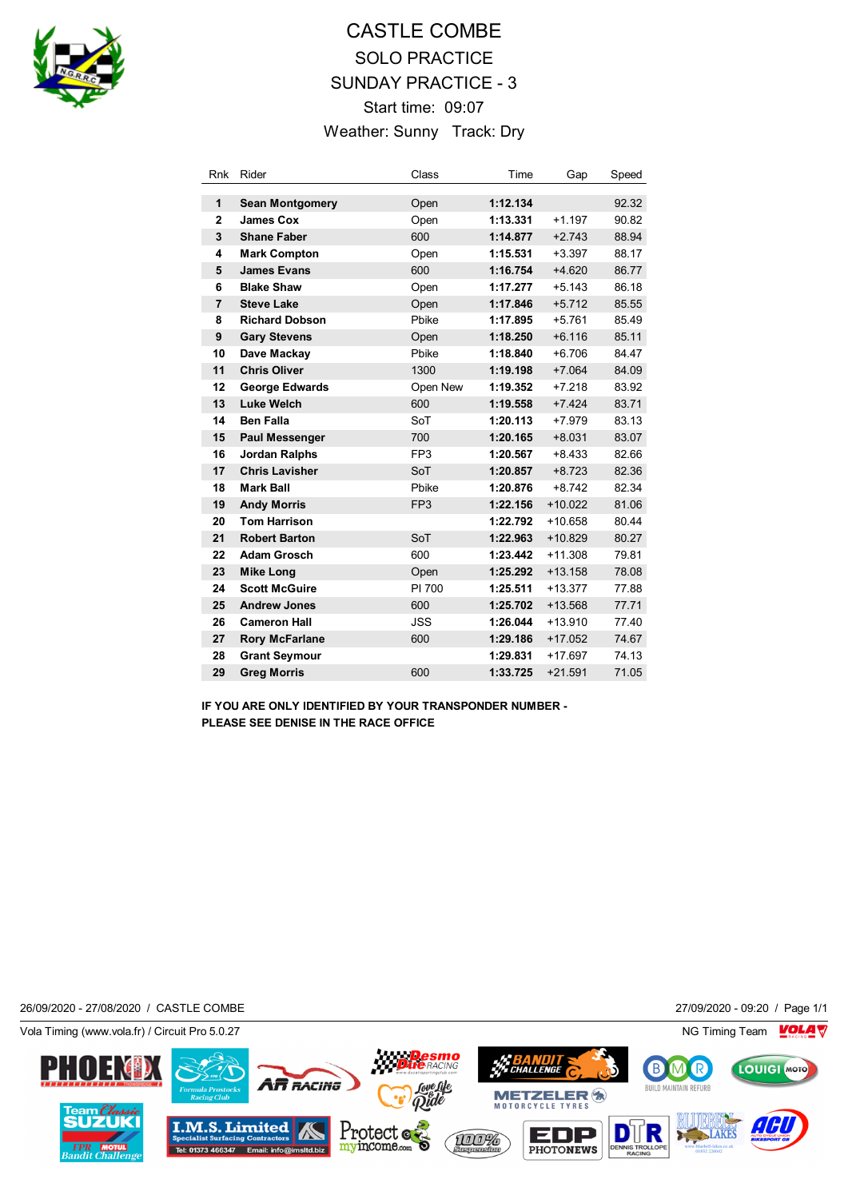

## CASTLE COMBE SOLO PRACTICE SUNDAY PRACTICE - 3 Start time: 09:07 Weather: Sunny Track: Dry

| <b>Rnk</b>     | Rider                  | Class           | Time     | Gap       | Speed |
|----------------|------------------------|-----------------|----------|-----------|-------|
| 1              | <b>Sean Montgomery</b> | Open            | 1:12.134 |           | 92.32 |
| $\mathbf{2}$   | <b>James Cox</b>       | Open            | 1:13.331 | $+1.197$  | 90.82 |
| 3              | <b>Shane Faber</b>     | 600             | 1:14.877 | $+2.743$  | 88.94 |
| 4              | <b>Mark Compton</b>    | Open            | 1:15.531 | $+3.397$  | 88.17 |
| 5              | <b>James Evans</b>     | 600             | 1:16.754 | $+4.620$  | 86.77 |
| 6              | <b>Blake Shaw</b>      | Open            | 1:17.277 | $+5.143$  | 86.18 |
| $\overline{7}$ | <b>Steve Lake</b>      | Open            | 1:17.846 | $+5.712$  | 85.55 |
| 8              | <b>Richard Dobson</b>  | Pbike           | 1:17.895 | $+5.761$  | 85.49 |
| 9              | <b>Gary Stevens</b>    | Open            | 1:18.250 | $+6.116$  | 85.11 |
| 10             | Dave Mackay            | Pbike           | 1:18.840 | $+6.706$  | 84.47 |
| 11             | <b>Chris Oliver</b>    | 1300            | 1:19.198 | $+7.064$  | 84.09 |
| 12             | <b>George Edwards</b>  | Open New        | 1:19.352 | $+7.218$  | 83.92 |
| 13             | <b>Luke Welch</b>      | 600             | 1:19.558 | $+7.424$  | 83.71 |
| 14             | <b>Ben Falla</b>       | SoT             | 1:20.113 | $+7.979$  | 83.13 |
| 15             | <b>Paul Messenger</b>  | 700             | 1:20.165 | $+8.031$  | 83.07 |
| 16             | <b>Jordan Ralphs</b>   | FP <sub>3</sub> | 1:20.567 | $+8.433$  | 82.66 |
| 17             | <b>Chris Lavisher</b>  | SoT             | 1:20.857 | $+8.723$  | 82.36 |
| 18             | <b>Mark Ball</b>       | Pbike           | 1:20.876 | $+8.742$  | 82.34 |
| 19             | <b>Andy Morris</b>     | FP <sub>3</sub> | 1:22.156 | $+10.022$ | 81.06 |
| 20             | <b>Tom Harrison</b>    |                 | 1:22.792 | $+10.658$ | 80.44 |
| 21             | <b>Robert Barton</b>   | SoT             | 1:22.963 | $+10.829$ | 80.27 |
| 22             | <b>Adam Grosch</b>     | 600             | 1:23.442 | $+11.308$ | 79.81 |
| 23             | <b>Mike Long</b>       | Open            | 1:25.292 | $+13.158$ | 78.08 |
| 24             | <b>Scott McGuire</b>   | PI 700          | 1:25.511 | $+13.377$ | 77.88 |
| 25             | <b>Andrew Jones</b>    | 600             | 1:25.702 | $+13.568$ | 77.71 |
| 26             | <b>Cameron Hall</b>    | <b>JSS</b>      | 1:26.044 | $+13.910$ | 77.40 |
| 27             | <b>Rory McFarlane</b>  | 600             | 1:29.186 | $+17.052$ | 74.67 |
| 28             | <b>Grant Seymour</b>   |                 | 1:29.831 | $+17.697$ | 74.13 |
| 29             | <b>Greg Morris</b>     | 600             | 1:33.725 | $+21.591$ | 71.05 |

**IF YOU ARE ONLY IDENTIFIED BY YOUR TRANSPONDER NUMBER - PLEASE SEE DENISE IN THE RACE OFFICE**

26/09/2020 - 27/08/2020 / CASTLE COMBE 27/09/2020 - 09:20 / Page 1/1

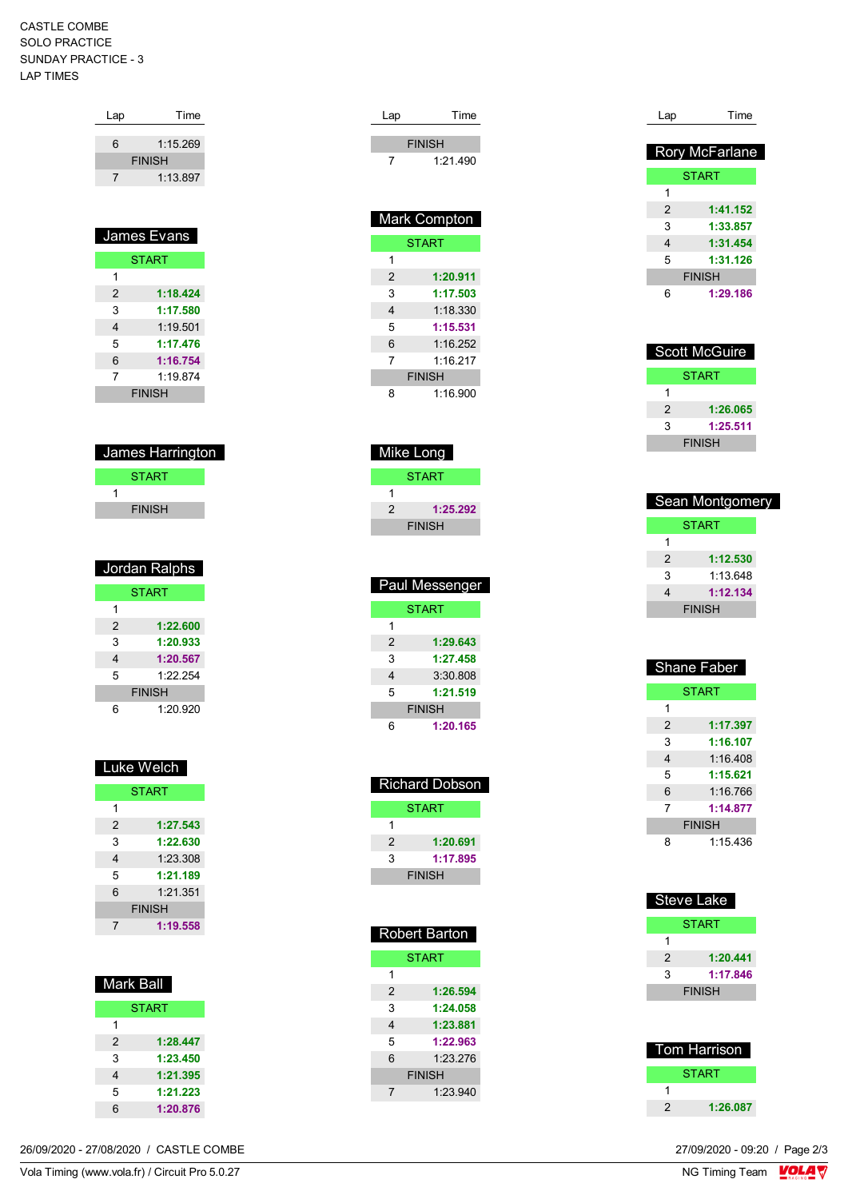## CASTLE COMBE SOLO PRACTICE SUNDAY PRACTICE - 3 LAP TIMES

| Lap            | Time          |
|----------------|---------------|
|                |               |
| 6              | 1:15.269      |
|                | <b>FINISH</b> |
| 7              | 1:13.897      |
|                |               |
|                |               |
|                |               |
|                |               |
|                | James Evans   |
|                | <b>START</b>  |
| 1              |               |
| $\overline{2}$ | 1:18.424      |
| 3              | 1:17.580      |
| 4              | 1:19.501      |
| 5              | 1:17.476      |

| 6             | 1:16.754 |  |
|---------------|----------|--|
|               | 1:19.874 |  |
| <b>FINISH</b> |          |  |

| James Harrington |  |  |
|------------------|--|--|
| <b>START</b>     |  |  |
|                  |  |  |
| <b>FINISH</b>    |  |  |

| Jordan Ralphs |          |  |
|---------------|----------|--|
| <b>START</b>  |          |  |
| 1             |          |  |
| $\mathcal{P}$ | 1:22.600 |  |
| 3             | 1:20.933 |  |
| 4             | 1:20.567 |  |
| 5             | 1:22.254 |  |
| <b>FINISH</b> |          |  |
| ี่ค           | 1:20.920 |  |

| Luke Welch    |          |  |
|---------------|----------|--|
| <b>START</b>  |          |  |
| 1             |          |  |
| 2             | 1:27.543 |  |
| 3             | 1:22.630 |  |
| 4             | 1:23.308 |  |
| 5             | 1:21.189 |  |
| 6             | 1:21.351 |  |
| <b>FINISH</b> |          |  |
|               | 1:19.558 |  |

| Mark Ball    |          |  |
|--------------|----------|--|
| <b>START</b> |          |  |
| 1            |          |  |
| 2            | 1:28.447 |  |
| 3            | 1:23.450 |  |
| 4            | 1:21.395 |  |
| 5            | 1:21.223 |  |
| 6            | 1:20.876 |  |

| Lap                     | Time                |
|-------------------------|---------------------|
|                         | <b>FINISH</b>       |
| 7                       | 1:21.490            |
|                         |                     |
|                         |                     |
|                         |                     |
|                         | <b>Mark Compton</b> |
|                         | <b>START</b>        |
| 1                       |                     |
| $\overline{2}$          | 1:20.911            |
| 3                       | 1:17.503            |
| $\overline{\mathbf{4}}$ | 1:18.330            |
| 5                       | 1:15.531            |
| 6                       | 1:16.252            |
| 7                       | 1:16.217            |
|                         | <b>FINISH</b>       |
| 8                       | 1:16.900            |
|                         |                     |
|                         |                     |
|                         | Mike Long           |
|                         | <b>START</b>        |
| 1                       |                     |
| 2                       | 1:25.292            |
|                         | <b>FINISH</b>       |

| <b>Paul Messenger</b> |          |  |
|-----------------------|----------|--|
| <b>START</b>          |          |  |
| 1                     |          |  |
| $\mathcal{P}$         | 1:29.643 |  |
| 3                     | 1:27.458 |  |
| 4                     | 3:30.808 |  |
| 5                     | 1:21.519 |  |
| <b>FINISH</b>         |          |  |
| հ                     | 1:20.165 |  |

| <b>Richard Dobson</b> |          |  |
|-----------------------|----------|--|
| START                 |          |  |
| 1                     |          |  |
| 2                     | 1:20.691 |  |
| 3                     | 1:17.895 |  |
| <b>FINISH</b>         |          |  |

| Robert Barton |  |  |
|---------------|--|--|
| <b>START</b>  |  |  |
|               |  |  |
| 1:26.594      |  |  |
| 1:24.058      |  |  |
| 1:23.881      |  |  |
| 1:22.963      |  |  |
| 1.23.276      |  |  |
| <b>FINISH</b> |  |  |
| 1:23.940      |  |  |
|               |  |  |

| Lap | Time           |
|-----|----------------|
|     |                |
|     | Rory McFarlane |
|     | <b>START</b>   |
| 1   |                |
| 2   | 1:41.152       |
| 3   | 1:33.857       |
| 4   | 1:31.454       |
| 5   | 1:31.126       |
|     | <b>FINISH</b>  |
| 6   | 1:29,186       |
|     |                |

| <b>Scott McGuire</b> |               |  |
|----------------------|---------------|--|
|                      | <b>START</b>  |  |
| 1                    |               |  |
| 2                    | 1:26.065      |  |
| 3                    | 1:25.511      |  |
|                      | <b>FINISH</b> |  |

| <b>Sean Montgomery</b> |          |  |
|------------------------|----------|--|
| START                  |          |  |
| 1                      |          |  |
| 2                      | 1:12.530 |  |
| 3                      | 1.13648  |  |
| 4                      | 1:12.134 |  |
| <b>FINISH</b>          |          |  |

| Shane Faber   |              |
|---------------|--------------|
|               | <b>START</b> |
| 1             |              |
| 2             | 1:17.397     |
| 3             | 1:16.107     |
| 4             | 1:16.408     |
| 5             | 1:15.621     |
| 6             | 1:16.766     |
| 7             | 1:14.877     |
| <b>FINISH</b> |              |
| ឧ             | 1:15 436     |

| Steve Lake          |              |
|---------------------|--------------|
|                     | <b>START</b> |
| 1                   |              |
| 2                   | 1:20.441     |
| 3                   | 1:17.846     |
| <b>FINISH</b>       |              |
|                     |              |
|                     |              |
| <b>Tom Harrison</b> |              |

|   | <b>START</b> |
|---|--------------|
|   |              |
| 2 | 1:26.087     |